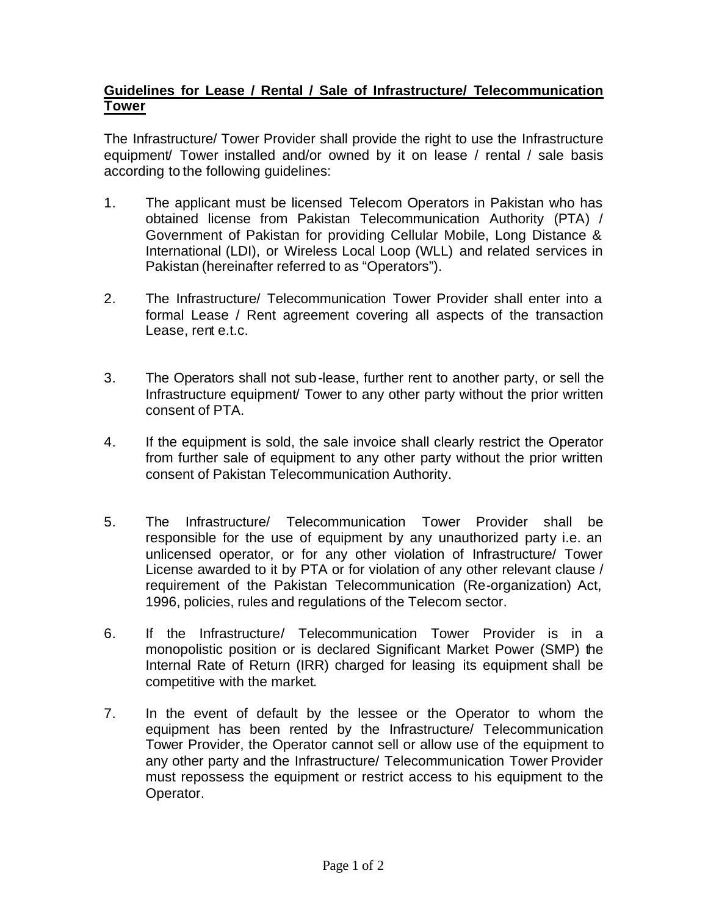## **Guidelines for Lease / Rental / Sale of Infrastructure/ Telecommunication Tower**

The Infrastructure/ Tower Provider shall provide the right to use the Infrastructure equipment/ Tower installed and/or owned by it on lease / rental / sale basis according to the following guidelines:

- 1. The applicant must be licensed Telecom Operators in Pakistan who has obtained license from Pakistan Telecommunication Authority (PTA) / Government of Pakistan for providing Cellular Mobile, Long Distance & International (LDI), or Wireless Local Loop (WLL) and related services in Pakistan (hereinafter referred to as "Operators").
- 2. The Infrastructure/ Telecommunication Tower Provider shall enter into a formal Lease / Rent agreement covering all aspects of the transaction Lease, rent e.t.c.
- 3. The Operators shall not sub-lease, further rent to another party, or sell the Infrastructure equipment/ Tower to any other party without the prior written consent of PTA.
- 4. If the equipment is sold, the sale invoice shall clearly restrict the Operator from further sale of equipment to any other party without the prior written consent of Pakistan Telecommunication Authority.
- 5. The Infrastructure/ Telecommunication Tower Provider shall be responsible for the use of equipment by any unauthorized party i.e. an unlicensed operator, or for any other violation of Infrastructure/ Tower License awarded to it by PTA or for violation of any other relevant clause / requirement of the Pakistan Telecommunication (Re-organization) Act, 1996, policies, rules and regulations of the Telecom sector.
- 6. If the Infrastructure/ Telecommunication Tower Provider is in a monopolistic position or is declared Significant Market Power (SMP) the Internal Rate of Return (IRR) charged for leasing its equipment shall be competitive with the market.
- 7. In the event of default by the lessee or the Operator to whom the equipment has been rented by the Infrastructure/ Telecommunication Tower Provider, the Operator cannot sell or allow use of the equipment to any other party and the Infrastructure/ Telecommunication Tower Provider must repossess the equipment or restrict access to his equipment to the Operator.